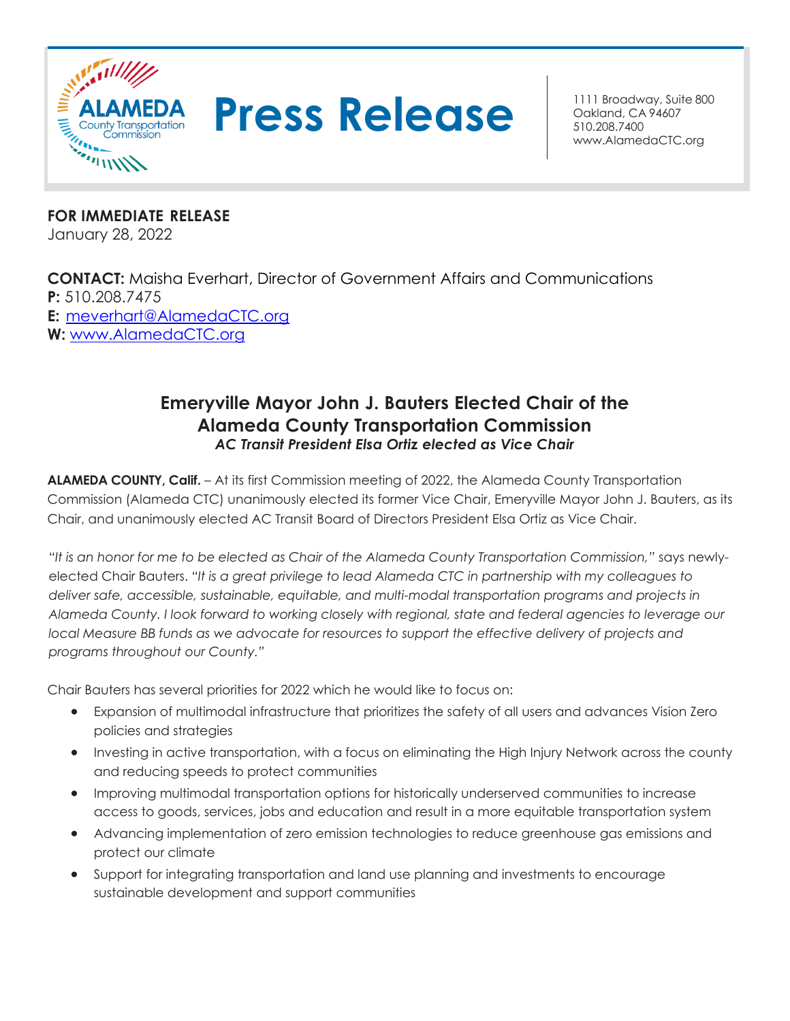



Oakland, CA 94607 510.208.7400 [www.AlamedaCTC.org](http://www.alamedactc.org/)

**FOR IMMEDIATE RELEASE** January 28, 2022

**CONTACT:** Maisha Everhart, Director of Government Affairs and Communications **P:** 510.208.7475 **E:** [meverhart@AlamedaCTC.org](mailto:meverhart@AlamedaCTC.org) **W:** [www.AlamedaCTC.org](http://www.alamedactc.org/)

## **Emeryville Mayor John J. Bauters Elected Chair of the Alameda County Transportation Commission** *AC Transit President Elsa Ortiz elected as Vice Chair*

**ALAMEDA COUNTY, Calif.** – At its first Commission meeting of 2022, the Alameda County Transportation Commission (Alameda CTC) unanimously elected its former Vice Chair, Emeryville Mayor John J. Bauters, as its Chair, and unanimously elected AC Transit Board of Directors President Elsa Ortiz as Vice Chair.

*"It is an honor for me to be elected as Chair of the Alameda County Transportation Commission,"* says newlyelected Chair Bauters. *"It is a great privilege to lead Alameda CTC in partnership with my colleagues to deliver safe, accessible, sustainable, equitable, and multi-modal transportation programs and projects in Alameda County. I look forward to working closely with regional, state and federal agencies to leverage our local Measure BB funds as we advocate for resources to support the effective delivery of projects and programs throughout our County."*

Chair Bauters has several priorities for 2022 which he would like to focus on:

- Expansion of multimodal infrastructure that prioritizes the safety of all users and advances Vision Zero policies and strategies
- Investing in active transportation, with a focus on eliminating the High Injury Network across the county and reducing speeds to protect communities
- Improving multimodal transportation options for historically underserved communities to increase access to goods, services, jobs and education and result in a more equitable transportation system
- Advancing implementation of zero emission technologies to reduce greenhouse gas emissions and protect our climate
- Support for integrating transportation and land use planning and investments to encourage sustainable development and support communities